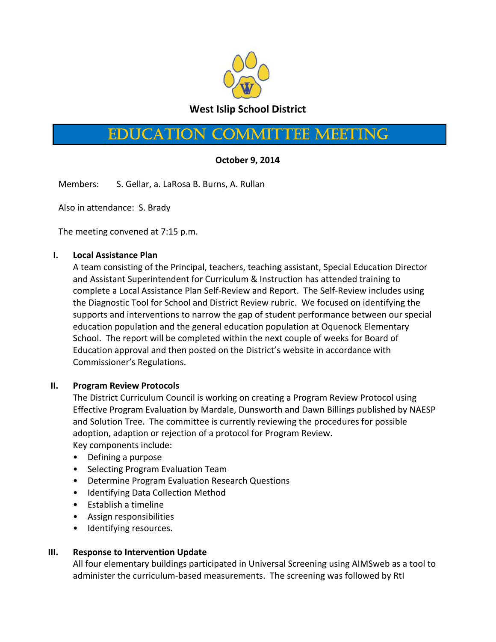

# **EDUCATION COMMITTEE MEETING**

## October 9, 2014

Members: S. Gellar, a. LaRosa B. Burns, A. Rullan

Also in attendance: S. Brady

The meeting convened at 7:15 p.m.

### $\mathbf{L}$ **Local Assistance Plan**

A team consisting of the Principal, teachers, teaching assistant, Special Education Director and Assistant Superintendent for Curriculum & Instruction has attended training to complete a Local Assistance Plan Self-Review and Report. The Self-Review includes using the Diagnostic Tool for School and District Review rubric. We focused on identifying the supports and interventions to narrow the gap of student performance between our special education population and the general education population at Oquenock Elementary School. The report will be completed within the next couple of weeks for Board of Education approval and then posted on the District's website in accordance with Commissioner's Regulations.

### $II.$ **Program Review Protocols**

The District Curriculum Council is working on creating a Program Review Protocol using Effective Program Evaluation by Mardale, Dunsworth and Dawn Billings published by NAESP and Solution Tree. The committee is currently reviewing the procedures for possible adoption, adaption or rejection of a protocol for Program Review. Key components include:

- Defining a purpose
- Selecting Program Evaluation Team
- Determine Program Evaluation Research Questions
- Identifying Data Collection Method
- Establish a timeline
- Assign responsibilities
- Identifying resources.

### $III.$ **Response to Intervention Update**

All four elementary buildings participated in Universal Screening using AIMSweb as a tool to administer the curriculum-based measurements. The screening was followed by RtI